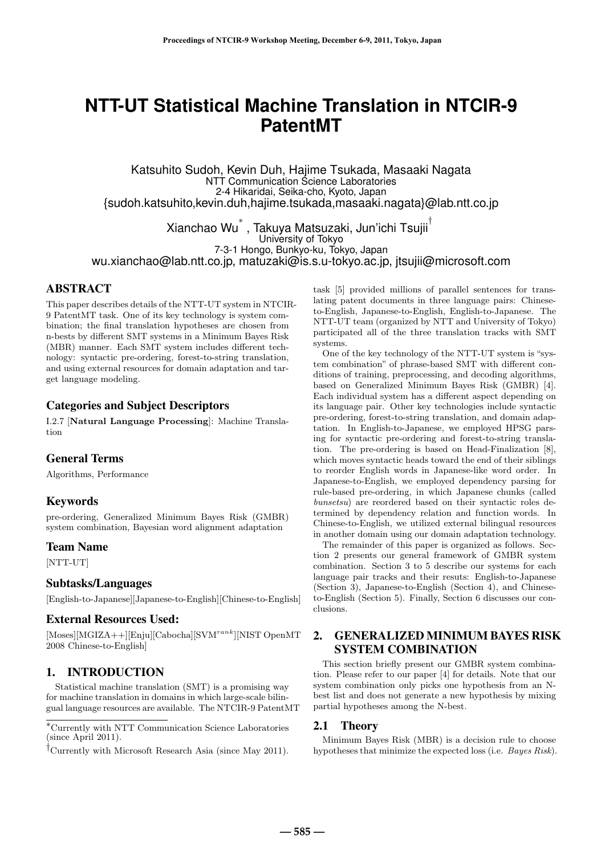# **NTT-UT Statistical Machine Translation in NTCIR-9 PatentMT**

Katsuhito Sudoh, Kevin Duh, Hajime Tsukada, Masaaki Nagata NTT Communication Science Laboratories 2-4 Hikaridai, Seika-cho, Kyoto, Japan {sudoh.katsuhito,kevin.duh,hajime.tsukada,masaaki.nagata}@lab.ntt.co.jp

Xianchao Wu $^{*}$  , Takuya Matsuzaki, Jun'ichi Tsujii<sup>ī</sup> University of Tokyo 7-3-1 Hongo, Bunkyo-ku, Tokyo, Japan wu.xianchao@lab.ntt.co.jp, matuzaki@is.s.u-tokyo.ac.jp, jtsujii@microsoft.com

## ABSTRACT

This paper describes details of the NTT-UT system in NTCIR-9 PatentMT task. One of its key technology is system combination; the final translation hypotheses are chosen from n-bests by different SMT systems in a Minimum Bayes Risk (MBR) manner. Each SMT system includes different technology: syntactic pre-ordering, forest-to-string translation, and using external resources for domain adaptation and target language modeling.

# Categories and Subject Descriptors

I.2.7 [**Natural Language Processing**]: Machine Translation

## General Terms

Algorithms, Performance

#### Keywords

pre-ordering, Generalized Minimum Bayes Risk (GMBR) system combination, Bayesian word alignment adaptation

## Team Name

[NTT-UT]

#### Subtasks/Languages

[English-to-Japanese][Japanese-to-English][Chinese-to-English]

## External Resources Used:

[Moses][MGIZA++][Enju][Cabocha][SVMrank][NIST OpenMT 2008 Chinese-to-English]

# 1. INTRODUCTION

Statistical machine translation (SMT) is a promising way for machine translation in domains in which large-scale bilingual language resources are available. The NTCIR-9 PatentMT task [5] provided millions of parallel sentences for translating patent documents in three language pairs: Chineseto-English, Japanese-to-English, English-to-Japanese. The NTT-UT team (organized by NTT and University of Tokyo) participated all of the three translation tracks with SMT systems.

One of the key technology of the NTT-UT system is "system combination" of phrase-based SMT with different conditions of training, preprocessing, and decoding algorithms, based on Generalized Minimum Bayes Risk (GMBR) [4]. Each individual system has a different aspect depending on its language pair. Other key technologies include syntactic pre-ordering, forest-to-string translation, and domain adaptation. In English-to-Japanese, we employed HPSG parsing for syntactic pre-ordering and forest-to-string translation. The pre-ordering is based on Head-Finalization [8], which moves syntactic heads toward the end of their siblings to reorder English words in Japanese-like word order. In Japanese-to-English, we employed dependency parsing for rule-based pre-ordering, in which Japanese chunks (called bunsetsu) are reordered based on their syntactic roles determined by dependency relation and function words. In Chinese-to-English, we utilized external bilingual resources in another domain using our domain adaptation technology.

The remainder of this paper is organized as follows. Section 2 presents our general framework of GMBR system combination. Section 3 to 5 describe our systems for each language pair tracks and their resuts: English-to-Japanese (Section 3), Japanese-to-English (Section 4), and Chineseto-English (Section 5). Finally, Section 6 discusses our conclusions.

# 2. GENERALIZED MINIMUM BAYES RISK SYSTEM COMBINATION

This section briefly present our GMBR system combination. Please refer to our paper [4] for details. Note that our system combination only picks one hypothesis from an Nbest list and does not generate a new hypothesis by mixing partial hypotheses among the N-best.

## 2.1 Theory

Minimum Bayes Risk (MBR) is a decision rule to choose hypotheses that minimize the expected loss (i.e. Bayes Risk).

<sup>∗</sup>Currently with NTT Communication Science Laboratories (since April 2011).

<sup>†</sup>Currently with Microsoft Research Asia (since May 2011).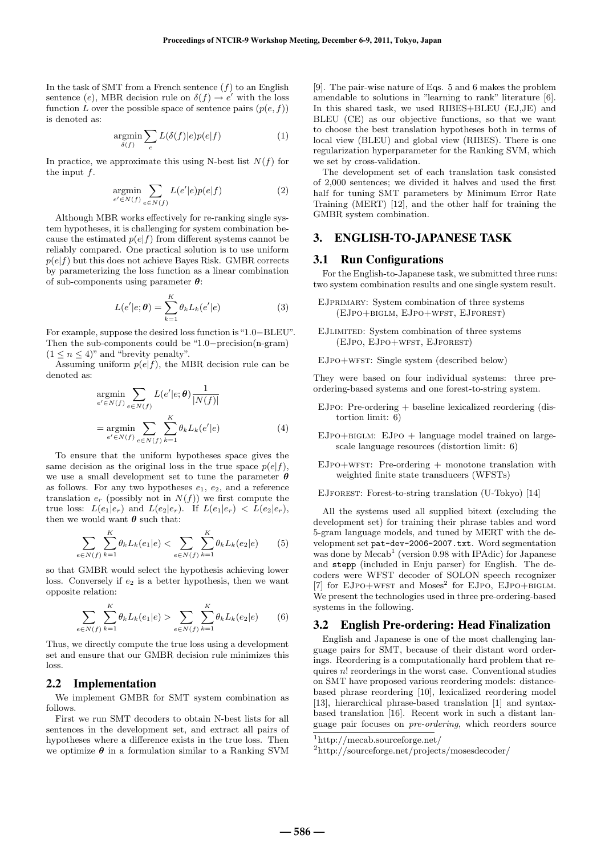In the task of SMT from a French sentence  $(f)$  to an English sentence (e), MBR decision rule on  $\delta(f) \rightarrow e'$  with the loss function L over the possible space of sentence pairs  $(p(e, f))$ is denoted as:

$$
\underset{\delta(f)}{\text{argmin}} \sum_{e} L(\delta(f)|e)p(e|f) \tag{1}
$$

In practice, we approximate this using N-best list  $N(f)$  for the input  $f$ .

$$
\underset{e' \in N(f)}{\text{argmin}} \sum_{e \in N(f)} L(e'|e)p(e|f) \tag{2}
$$

Although MBR works effectively for re-ranking single system hypotheses, it is challenging for system combination because the estimated  $p(e|f)$  from different systems cannot be reliably compared. One practical solution is to use uniform  $p(e|f)$  but this does not achieve Bayes Risk. GMBR corrects by parameterizing the loss function as a linear combination of sub-components using parameter *θ*:

$$
L(e'|e; \theta) = \sum_{k=1}^{K} \theta_k L_k(e'|e)
$$
 (3)

For example, suppose the desired loss function is"1.0−BLEU". Then the sub-components could be "1.0−precision(n-gram)  $(1 \leq n \leq 4)$ " and "brevity penalty".

Assuming uniform  $p(e|f)$ , the MBR decision rule can be denoted as:

$$
\underset{e' \in N(f)}{\operatorname{argmin}} \sum_{e \in N(f)} L(e'|e; \theta) \frac{1}{|N(f)|}
$$
\n
$$
= \underset{e' \in N(f)}{\operatorname{argmin}} \sum_{e \in N(f)} \sum_{k=1}^{K} \theta_k L_k(e'|e) \tag{4}
$$

To ensure that the uniform hypotheses space gives the same decision as the original loss in the true space  $p(e|f)$ , we use a small development set to tune the parameter *θ* as follows. For any two hypotheses  $e_1, e_2$ , and a reference translation  $e_r$  (possibly not in  $N(f)$ ) we first compute the true loss:  $L(e_1|e_r)$  and  $L(e_2|e_r)$ . If  $L(e_1|e_r) < L(e_2|e_r)$ , then we would want  $\theta$  such that:

$$
\sum_{e \in N(f)} \sum_{k=1}^{K} \theta_k L_k(e_1|e) < \sum_{e \in N(f)} \sum_{k=1}^{K} \theta_k L_k(e_2|e) \tag{5}
$$

so that GMBR would select the hypothesis achieving lower loss. Conversely if  $e_2$  is a better hypothesis, then we want opposite relation:

$$
\sum_{e \in N(f)} \sum_{k=1}^{K} \theta_k L_k(e_1|e) > \sum_{e \in N(f)} \sum_{k=1}^{K} \theta_k L_k(e_2|e) \qquad (6)
$$

Thus, we directly compute the true loss using a development set and ensure that our GMBR decision rule minimizes this loss.

## 2.2 Implementation

We implement GMBR for SMT system combination as follows.

First we run SMT decoders to obtain N-best lists for all sentences in the development set, and extract all pairs of hypotheses where a difference exists in the true loss. Then we optimize  $\theta$  in a formulation similar to a Ranking SVM [9]. The pair-wise nature of Eqs. 5 and 6 makes the problem amendable to solutions in "learning to rank" literature [6]. In this shared task, we used RIBES+BLEU (EJ,JE) and BLEU (CE) as our objective functions, so that we want to choose the best translation hypotheses both in terms of local view (BLEU) and global view (RIBES). There is one regularization hyperparameter for the Ranking SVM, which we set by cross-validation.

The development set of each translation task consisted of 2,000 sentences; we divided it halves and used the first half for tuning SMT parameters by Minimum Error Rate Training (MERT) [12], and the other half for training the GMBR system combination.

# 3. ENGLISH-TO-JAPANESE TASK

## 3.1 Run Configurations

For the English-to-Japanese task, we submitted three runs: two system combination results and one single system result.

- EJPRIMARY: System combination of three systems (EJpo+biglm, EJpo+wfst, EJforest)
- EJlimited: System combination of three systems (EJpo, EJpo+wfst, EJforest)

EJpo+wfst: Single system (described below)

They were based on four individual systems: three preordering-based systems and one forest-to-string system.

- $EJPO: Pre-ordering + baseline lexicalized reordering (dis$ tortion limit: 6)
- $EJPO+BIGLM: EJPO + language model trained on large$ scale language resources (distortion limit: 6)
- $EJPO+WFST: Pre-ordering + monotone translation with$ weighted finite state transducers (WFSTs)

EJforest: Forest-to-string translation (U-Tokyo) [14]

All the systems used all supplied bitext (excluding the development set) for training their phrase tables and word 5-gram language models, and tuned by MERT with the development set pat-dev-2006-2007.txt. Word segmentation was done by  $\text{Mecab}^1$  (version 0.98 with IPAdic) for Japanese and stepp (included in Enju parser) for English. The decoders were WFST decoder of SOLON speech recognizer  $[7]$  for EJPO+WFST and Moses<sup>2</sup> for EJPO, EJPO+BIGLM. We present the technologies used in three pre-ordering-based systems in the following.

#### 3.2 English Pre-ordering: Head Finalization

English and Japanese is one of the most challenging language pairs for SMT, because of their distant word orderings. Reordering is a computationally hard problem that requires  $n!$  reorderings in the worst case. Conventional studies on SMT have proposed various reordering models: distancebased phrase reordering [10], lexicalized reordering model [13], hierarchical phrase-based translation [1] and syntaxbased translation [16]. Recent work in such a distant language pair focuses on pre-ordering, which reorders source

 $\frac{1}{1}$ http://mecab.sourceforge.net/

<sup>2</sup>http://sourceforge.net/projects/mosesdecoder/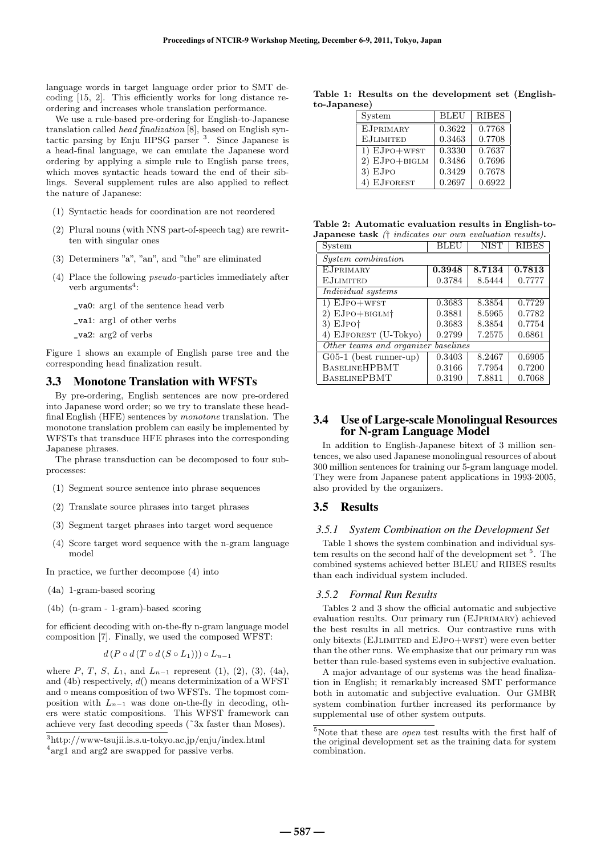language words in target language order prior to SMT decoding [15, 2]. This efficiently works for long distance reordering and increases whole translation performance.

We use a rule-based pre-ordering for English-to-Japanese translation called head finalization [8], based on English syntactic parsing by Enju HPSG parser <sup>3</sup>. Since Japanese is a head-final language, we can emulate the Japanese word ordering by applying a simple rule to English parse trees, which moves syntactic heads toward the end of their siblings. Several supplement rules are also applied to reflect the nature of Japanese:

- (1) Syntactic heads for coordination are not reordered
- (2) Plural nouns (with NNS part-of-speech tag) are rewritten with singular ones
- (3) Determiners "a", "an", and "the" are eliminated
- (4) Place the following pseudo-particles immediately after verb arguments<sup>4</sup>:
	- \_va0: arg1 of the sentence head verb
	- \_va1: arg1 of other verbs
	- \_va2: arg2 of verbs

Figure 1 shows an example of English parse tree and the corresponding head finalization result.

#### 3.3 Monotone Translation with WFSTs

By pre-ordering, English sentences are now pre-ordered into Japanese word order; so we try to translate these headfinal English (HFE) sentences by monotone translation. The monotone translation problem can easily be implemented by WFSTs that transduce HFE phrases into the corresponding Japanese phrases.

The phrase transduction can be decomposed to four subprocesses:

- (1) Segment source sentence into phrase sequences
- (2) Translate source phrases into target phrases
- (3) Segment target phrases into target word sequence
- (4) Score target word sequence with the n-gram language model

In practice, we further decompose (4) into

- (4a) 1-gram-based scoring
- (4b) (n-gram 1-gram)-based scoring

for efficient decoding with on-the-fly n-gram language model composition [7]. Finally, we used the composed WFST:

$$
d(P \circ d(T \circ d(S \circ L_1))) \circ L_{n-1}
$$

where P, T, S,  $L_1$ , and  $L_{n-1}$  represent (1), (2), (3), (4a), and (4b) respectively,  $d()$  means determinization of a WFST and ∘ means composition of two WFSTs. The topmost composition with  $L_{n-1}$  was done on-the-fly in decoding, others were static compositions. This WFST framework can achieve very fast decoding speeds (˜3x faster than Moses).

**Table 1: Results on the development set (Englishto-Japanese)**

| System              | <b>BLEU</b> | <b>RIBES</b> |
|---------------------|-------------|--------------|
| <b>EJPRIMARY</b>    | 0.3622      | 0.7768       |
| <b>EJLIMITED</b>    | 0.3463      | 0.7708       |
| $1) EJPO+WFST$      | 0.3330      | 0.7637       |
| $2)$ EJPO $+$ BIGLM | 0.3486      | 0.7696       |
| $3)$ EJPO           | 0.3429      | 0.7678       |
| 4) EJFOREST         | 0.2697      | 0.6922       |

**Table 2: Automatic evaluation results in English-to-Japanese task** († indicates our own evaluation results)**.**

| System                                    | BLEU   | <b>NIST</b> | <b>RIBES</b> |  |
|-------------------------------------------|--------|-------------|--------------|--|
| <i>System combination</i>                 |        |             |              |  |
| <b>EJPRIMARY</b>                          | 0.3948 | 8.7134      | 0.7813       |  |
| <b>E.JLIMITED</b>                         | 0.3784 | 8.5444      | 0.7777       |  |
| Individual systems                        |        |             |              |  |
| $1)$ $EJPO+WFST$                          | 0.3683 | 8.3854      | 0.7729       |  |
| 2) EJPO+BIGLM+                            | 0.3881 | 8.5965      | 0.7782       |  |
| $3)$ EJPO <sup><math>\dagger</math></sup> | 0.3683 | 8.3854      | 0.7754       |  |
| 4) EJFOREST (U-Tokyo)                     | 0.2799 | 7.2575      | 0.6861       |  |
| Other teams and organizer baselines       |        |             |              |  |
| $G05-1$ (best runner-up)                  | 0.3403 | 8.2467      | 0.6905       |  |
| <b>BASELINEHPBMT</b>                      | 0.3166 | 7.7954      | 0.7200       |  |
| <b>BASELINEPBMT</b>                       | 0.3190 | 7.8811      | 0.7068       |  |

## 3.4 Use of Large-scale Monolingual Resources for N-gram Language Model

In addition to English-Japanese bitext of 3 million sentences, we also used Japanese monolingual resources of about 300 million sentences for training our 5-gram language model. They were from Japanese patent applications in 1993-2005, also provided by the organizers.

#### 3.5 Results

#### *3.5.1 System Combination on the Development Set*

Table 1 shows the system combination and individual system results on the second half of the development set <sup>5</sup>. The combined systems achieved better BLEU and RIBES results than each individual system included.

#### *3.5.2 Formal Run Results*

Tables 2 and 3 show the official automatic and subjective evaluation results. Our primary run (EJprimary) achieved the best results in all metrics. Our contrastive runs with only bitexts (EJLIMITED and EJPO+WFST) were even better than the other runs. We emphasize that our primary run was better than rule-based systems even in subjective evaluation.

A major advantage of our systems was the head finalization in English; it remarkably increased SMT performance both in automatic and subjective evaluation. Our GMBR system combination further increased its performance by supplemental use of other system outputs.

<sup>3</sup>http://www-tsujii.is.s.u-tokyo.ac.jp/enju/index.html

<sup>&</sup>lt;sup>4</sup>arg1 and arg2 are swapped for passive verbs.

 $5$ Note that these are *open* test results with the first half of the original development set as the training data for system combination.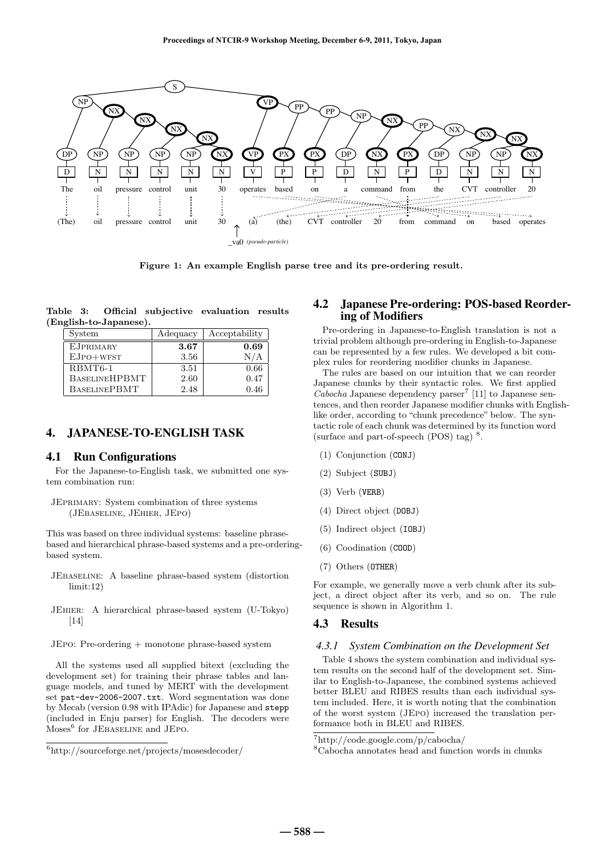

**Figure 1: An example English parse tree and its pre-ordering result.**

**Table 3: Official subjective evaluation results (English-to-Japanese).**

| System               | Adequacy | Acceptability |
|----------------------|----------|---------------|
| <b>EJPRIMARY</b>     | 3.67     | 0.69          |
| $EJPO+WFST$          | 3.56     | N/A           |
| RBMT6-1              | 3.51     | 0.66          |
| <b>BASELINEHPBMT</b> | 2.60     | 0.47          |
| <b>BASELINEPBMT</b>  | 2.48     | 0.46          |

## 4. JAPANESE-TO-ENGLISH TASK

#### 4.1 Run Configurations

For the Japanese-to-English task, we submitted one system combination run:

JEprimary: System combination of three systems (JEbaseline, JEhier, JEpo)

This was based on three individual systems: baseline phrasebased and hierarchical phrase-based systems and a pre-orderingbased system.

- JEbaseline: A baseline phrase-based system (distortion limit:12)
- JEhier: A hierarchical phrase-based system (U-Tokyo) [14]

JEpo: Pre-ordering + monotone phrase-based system

All the systems used all supplied bitext (excluding the development set) for training their phrase tables and language models, and tuned by MERT with the development set pat-dev-2006-2007.txt. Word segmentation was done by Mecab (version 0.98 with IPAdic) for Japanese and stepp (included in Enju parser) for English. The decoders were  ${\rm Moses}^6$  for JEBASELINE and JEPO.

# 4.2 Japanese Pre-ordering: POS-based Reordering of Modifiers

Pre-ordering in Japanese-to-English translation is not a trivial problem although pre-ordering in English-to-Japanese can be represented by a few rules. We developed a bit complex rules for reordering modifier chunks in Japanese.

The rules are based on our intuition that we can reorder Japanese chunks by their syntactic roles. We first applied  $Cabocha$  Japanese dependency parser<sup>7</sup> [11] to Japanese sentences, and then reorder Japanese modifier chunks with Englishlike order, according to "chunk precedence" below. The syntactic role of each chunk was determined by its function word (surface and part-of-speech  $(POS)$  tag)<sup>8</sup>.

- (1) Conjunction (CONJ)
- (2) Subject (SUBJ)
- (3) Verb (VERB)
- (4) Direct object (DOBJ)
- (5) Indirect object (IOBJ)
- (6) Coodination (COOD)
- (7) Others (OTHER)

For example, we generally move a verb chunk after its subject, a direct object after its verb, and so on. The rule sequence is shown in Algorithm 1.

## 4.3 Results

#### *4.3.1 System Combination on the Development Set*

Table 4 shows the system combination and individual system results on the second half of the development set. Similar to English-to-Japanese, the combined systems achieved better BLEU and RIBES results than each individual system included. Here, it is worth noting that the combination of the worst system (JEpo) increased the translation performance both in BLEU and RIBES.

<sup>6</sup>http://sourceforge.net/projects/mosesdecoder/

<sup>7</sup>http://code.google.com/p/cabocha/

<sup>8</sup>Cabocha annotates head and function words in chunks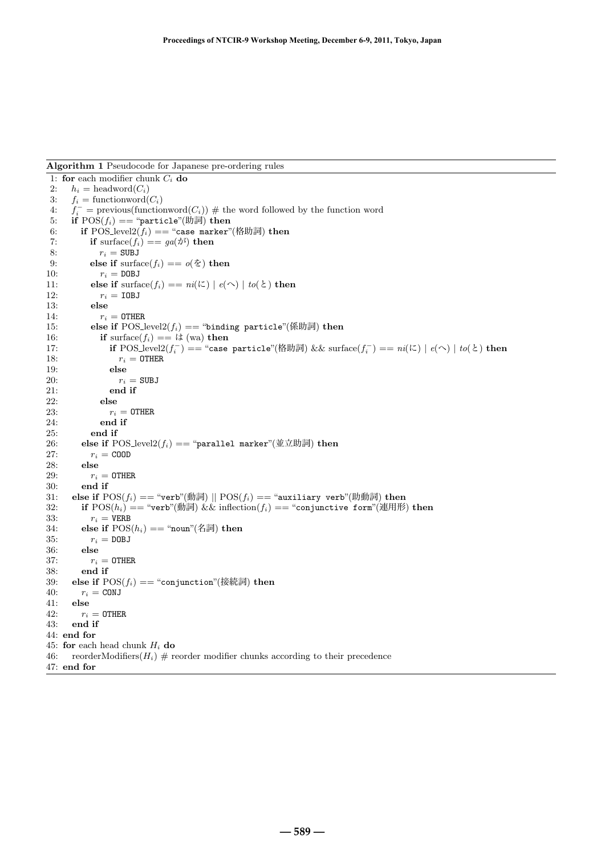**Algorithm 1** Pseudocode for Japanese pre-ordering rules

#### 1: **for** each modifier chunk  $C_i$  **do**<br>2:  $h_i$  = headword( $C_i$ )  $h_i = \text{headword}(C_i)$ 3:  $f_i = \text{functionword}(C_i)$ 4:  $f_i^$  $i = \text{previous}(\text{functionword}(C_i)) \#$  the word followed by the function word 5: **if**  $POS(f_i) == "particle"$ (助詞) **then** 6: **if** POS\_level2( $f_i$ ) == "case marker"(格助詞) **then**<br>7: **if** surface( $f_i$ ) ==  $qa(\vec{v})$  **then if** surface( $f_i$ ) ==  $ga(\phi^i)$  **then** 8:  $r_i = SUBJ$ <br>9: **else if** surfa 9: **else if** surface( $f_i$ ) ==  $o(\check{\mathcal{Z}})$  **then**<br>10:  $r_i = \text{DOBJ}$  $r_i =$  DOBJ 11: **else if** surface( $f_i$ ) ==  $ni(\mathcal{K}) | e(\mathcal{K}) | to(\mathcal{K})$  **then**<br>12:  $r_i = \text{IDBJ}$  $r_i =$  IOBJ 13: **else** 14:  $r_i = 0$ THER 15: **else if**  $\text{POS\_level2}(f_i) == \text{"binding particle"}(\text{Kbigi})$  **then** 16: **if** surface( $f_i$ ) == は (wa) **then** 17: **if** POS\_level2( $f_i^-$ ) == "case particle"(格助詞) && surface( $f_i^-$ ) == ni(に) | e(へ) | to(と) **then** 18:  $r_i = 0$ THER 19: **else** 20:  $r_i = SUBJ$ 21: **end if** 22: **else** 23:  $r_i = 0$ THER 24: **end if** 25: **end if** 26: **else if** POS\_level2( $f_i$ ) == "parallel marker"(並立助詞) then 27:  $r_i = \text{COD}$ <br>28: else 28: **else** 29:  $r_i = 0$ THER 30: **end if** 31: **else if**  $POS(f_i) == "verb"(\�ျ  $)$  ||  $POS(f_i) == "auxiliary verb"$ (助動詞) **then** 32: **if**  $POS(h_i) == "verb"(\hbox{\#all})$  && inflection( $f_i$ ) == "conjunctive form"(連用形$ **if**  $POS(h_i) == "verb"(\�ျள் $)$  && inflection( $f_i$ ) == "conjunctive form"(連用形) then$ 33:  $r_i = VERB$ 34: **else if**  $POS(h_i) == "noun"(\mathbb{A} \overline{\mathbb{m}})$  **then** 35:  $r_i = DDBJ$ 35:  $r_i = \text{DOBJ}$ <br>36: else 36: **else** 37:  $r_i = 0$ THER 38: **end if** 39: **else if**  $POS(f_i) == "conjunction"$ (接続詞) **then** 40:  $r_i = CONJ$  $r_i = \texttt{CONJ}$ 41: **else** 42:  $r_i = 0$ THER 43: **end if** 44: **end for** 45: **for** each head chunk  $H_i$  **do** 46: reorderModifiers $(H_i)$  # reorder modifier chunks according to their precedence 47: **end for**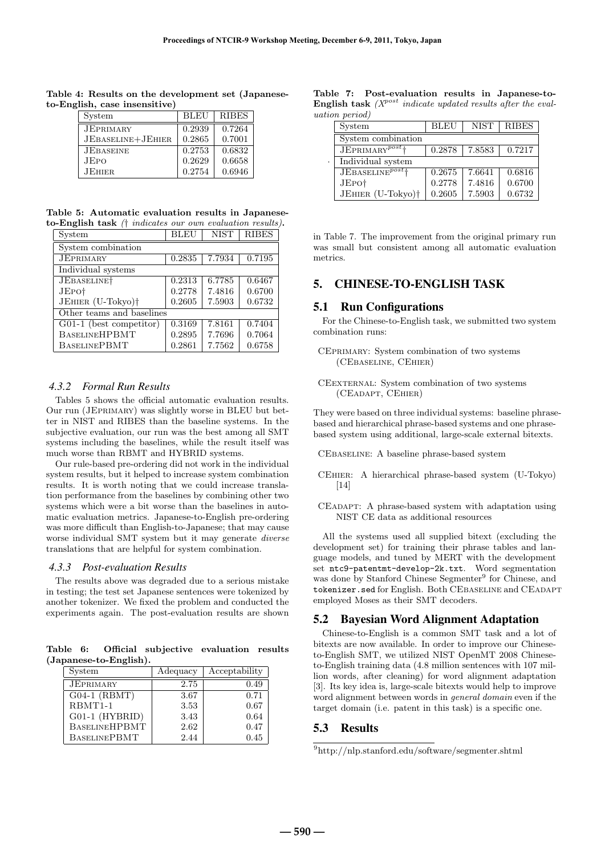| English, case insensitive) |                   |             |              |  |
|----------------------------|-------------------|-------------|--------------|--|
|                            | System            | <b>BLEU</b> | <b>RIBES</b> |  |
|                            | <b>JEPRIMARY</b>  | 0.2939      | 0.7264       |  |
|                            | JEBASELINE+JEHIER | 0.2865      | 0.7001       |  |
|                            | <b>JEBASEINE</b>  | 0.2753      | 0.6832       |  |

JEpo | 0.2629 | 0.6658 JEHIER | 0.2754 | 0.6946

**Table 4: Results on the development set (Japaneseto-English, case insensitive)**

**Table 5: Automatic evaluation results in Japaneseto-English task** († indicates our own evaluation results)**.**

| System                    | <b>BLEU</b> | <b>NIST</b> | <b>RIBES</b> |
|---------------------------|-------------|-------------|--------------|
| System combination        |             |             |              |
| <b>JEPRIMARY</b>          | 0.2835      | 7.7934      | 0.7195       |
| Individual systems        |             |             |              |
| JEBASELINE <sup>†</sup>   | 0.2313      | 6.7785      | 0.6467       |
| JEPO <sup>†</sup>         | 0.2778      | 7.4816      | 0.6700       |
| JEHIER (U-Tokyo)†         | 0.2605      | 7.5903      | 0.6732       |
| Other teams and baselines |             |             |              |
| G01-1 (best competitor)   | 0.3169      | 7.8161      | 0.7404       |
| <b>BASELINEHPBMT</b>      | 0.2895      | 7.7696      | 0.7064       |
| <b>BASELINEPBMT</b>       | 0.2861      | 7.7562      | 0.6758       |

#### *4.3.2 Formal Run Results*

Tables 5 shows the official automatic evaluation results. Our run (JEprimary) was slightly worse in BLEU but better in NIST and RIBES than the baseline systems. In the subjective evaluation, our run was the best among all SMT systems including the baselines, while the result itself was much worse than RBMT and HYBRID systems.

Our rule-based pre-ordering did not work in the individual system results, but it helped to increase system combination results. It is worth noting that we could increase translation performance from the baselines by combining other two systems which were a bit worse than the baselines in automatic evaluation metrics. Japanese-to-English pre-ordering was more difficult than English-to-Japanese; that may cause worse individual SMT system but it may generate diverse translations that are helpful for system combination.

#### *4.3.3 Post-evaluation Results*

The results above was degraded due to a serious mistake in testing; the test set Japanese sentences were tokenized by another tokenizer. We fixed the problem and conducted the experiments again. The post-evaluation results are shown

**Table 6: Official subjective evaluation results (Japanese-to-English).**

| System               | Adequacy | Acceptability |
|----------------------|----------|---------------|
| <b>JEPRIMARY</b>     | 2.75     | 0.49          |
| $G04-1$ (RBMT)       | 3.67     | 0.71          |
| RBMT1-1              | 3.53     | 0.67          |
| G01-1 (HYBRID)       | 3.43     | 0.64          |
| <b>BASELINEHPBMT</b> | 2.62     | 0.47          |
| <b>BASELINEPBMT</b>  | 2.44     | 0.45          |

**Table 7: Post-evaluation results in Japanese-to-English task** ( $X^{post}$  indicate updated results after the evaluation period)

| System                        | <b>BLEU</b> | <b>NIST</b> | <b>RIBES</b> |
|-------------------------------|-------------|-------------|--------------|
| System combination            |             |             |              |
| $JEPRIMARY^{post}$            | 0.2878      | 7.8583      | 0.7217       |
| Individual system             |             |             |              |
| JEBASELINE <sup>post</sup> †  | 0.2675      | 7.6641      | 0.6816       |
| JEPO <sup>†</sup>             | 0.2778      | 7.4816      | 0.6700       |
| JEHIER (U-Tokyo) <sup>†</sup> | 0.2605      | 7.5903      | 0.6732       |

in Table 7. The improvement from the original primary run was small but consistent among all automatic evaluation metrics.

# 5. CHINESE-TO-ENGLISH TASK

## 5.1 Run Configurations

For the Chinese-to-English task, we submitted two system combination runs:

CEprimary: System combination of two systems (CEbaseline, CEhier)

They were based on three individual systems: baseline phrasebased and hierarchical phrase-based systems and one phrasebased system using additional, large-scale external bitexts.

CEbaseline: A baseline phrase-based system

- CEhier: A hierarchical phrase-based system (U-Tokyo) [14]
- CEadapt: A phrase-based system with adaptation using NIST CE data as additional resources

All the systems used all supplied bitext (excluding the development set) for training their phrase tables and language models, and tuned by MERT with the development set ntc9-patentmt-develop-2k.txt. Word segmentation was done by Stanford Chinese Segmenter<sup>9</sup> for Chinese, and tokenizer.sed for English. Both CEBASELINE and CEADAPT employed Moses as their SMT decoders.

#### 5.2 Bayesian Word Alignment Adaptation

Chinese-to-English is a common SMT task and a lot of bitexts are now available. In order to improve our Chineseto-English SMT, we utilized NIST OpenMT 2008 Chineseto-English training data (4.8 million sentences with 107 million words, after cleaning) for word alignment adaptation [3]. Its key idea is, large-scale bitexts would help to improve word alignment between words in general domain even if the target domain (i.e. patent in this task) is a specific one.

#### 5.3 Results

CEexternal: System combination of two systems (CEadapt, CEhier)

<sup>9</sup>http://nlp.stanford.edu/software/segmenter.shtml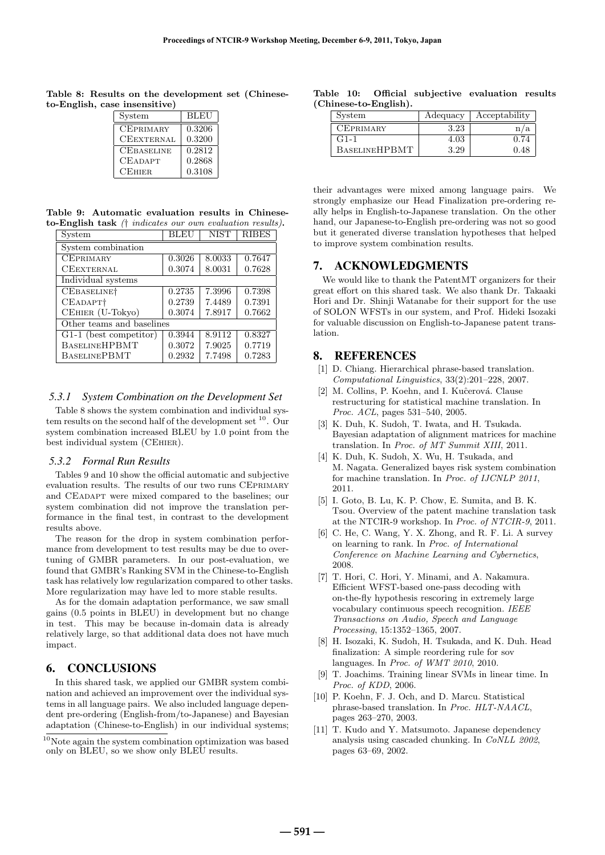**Table 8: Results on the development set (Chineseto-English, case insensitive)**

| System            | BLEU   |
|-------------------|--------|
| <b>CEPRIMARY</b>  | 0.3206 |
| <b>CEEXTERNAL</b> | 0.3200 |
| <b>CEBASELINE</b> | 0.2812 |
| <b>CEADAPT</b>    | 0.2868 |
| <b>CEHIER</b>     | 0.3108 |

**Table 9: Automatic evaluation results in Chineseto-English task** († indicates our own evaluation results)**.**

| System                    | <b>BLEU</b> | <b>NIST</b> | <b>RIBES</b> |
|---------------------------|-------------|-------------|--------------|
| System combination        |             |             |              |
| <b>CEPRIMARY</b>          | 0.3026      | 8.0033      | 0.7647       |
| <b>CEEXTERNAL</b>         | 0.3074      | 8.0031      | 0.7628       |
| Individual systems        |             |             |              |
| CEBASELINE <sup>†</sup>   | 0.2735      | 7.3996      | 0.7398       |
| CEADAPT <sup>+</sup>      | 0.2739      | 7.4489      | 0.7391       |
| CEHIER (U-Tokyo)          | 0.3074      | 7.8917      | 0.7662       |
| Other teams and baselines |             |             |              |
| G1-1 (best competitor)    | 0.3944      | 8.9112      | 0.8327       |
| <b>BASELINEHPBMT</b>      | 0.3072      | 7.9025      | 0.7719       |
| <b>BASELINEPBMT</b>       | 0.2932      | 7.7498      | 0.7283       |

## *5.3.1 System Combination on the Development Set*

Table 8 shows the system combination and individual system results on the second half of the development set  $^{10}$ . Our system combination increased BLEU by 1.0 point from the best individual system (CEhier).

#### *5.3.2 Formal Run Results*

Tables 9 and 10 show the official automatic and subjective evaluation results. The results of our two runs CEprimary and CEadapt were mixed compared to the baselines; our system combination did not improve the translation performance in the final test, in contrast to the development results above.

The reason for the drop in system combination performance from development to test results may be due to overtuning of GMBR parameters. In our post-evaluation, we found that GMBR's Ranking SVM in the Chinese-to-English task has relatively low regularization compared to other tasks. More regularization may have led to more stable results.

As for the domain adaptation performance, we saw small gains (0.5 points in BLEU) in development but no change in test. This may be because in-domain data is already relatively large, so that additional data does not have much impact.

## 6. CONCLUSIONS

In this shared task, we applied our GMBR system combination and achieved an improvement over the individual systems in all language pairs. We also included language dependent pre-ordering (English-from/to-Japanese) and Bayesian adaptation (Chinese-to-English) in our individual systems;

**Table 10: Official subjective evaluation results (Chinese-to-English).**

| System               | Adequacy | Acceptability |
|----------------------|----------|---------------|
| <b>CEPRIMARY</b>     | 3.23     |               |
| $G1-1$               | $4.03\,$ | 0.74          |
| <b>BASELINEHPBMT</b> | 3.29     | 0.48          |

their advantages were mixed among language pairs. We strongly emphasize our Head Finalization pre-ordering really helps in English-to-Japanese translation. On the other hand, our Japanese-to-English pre-ordering was not so good but it generated diverse translation hypotheses that helped to improve system combination results.

# 7. ACKNOWLEDGMENTS

We would like to thank the PatentMT organizers for their great effort on this shared task. We also thank Dr. Takaaki Hori and Dr. Shinji Watanabe for their support for the use of SOLON WFSTs in our system, and Prof. Hideki Isozaki for valuable discussion on English-to-Japanese patent translation.

## 8. REFERENCES

- [1] D. Chiang. Hierarchical phrase-based translation. Computational Linguistics, 33(2):201–228, 2007.
- [2] M. Collins, P. Koehn, and I. Kuĉerová. Clause restructuring for statistical machine translation. In Proc. ACL, pages 531–540, 2005.
- [3] K. Duh, K. Sudoh, T. Iwata, and H. Tsukada. Bayesian adaptation of alignment matrices for machine translation. In Proc. of MT Summit XIII, 2011.
- [4] K. Duh, K. Sudoh, X. Wu, H. Tsukada, and M. Nagata. Generalized bayes risk system combination for machine translation. In Proc. of IJCNLP 2011, 2011.
- [5] I. Goto, B. Lu, K. P. Chow, E. Sumita, and B. K. Tsou. Overview of the patent machine translation task at the NTCIR-9 workshop. In Proc. of NTCIR-9, 2011.
- [6] C. He, C. Wang, Y. X. Zhong, and R. F. Li. A survey on learning to rank. In Proc. of International Conference on Machine Learning and Cybernetics, 2008.
- [7] T. Hori, C. Hori, Y. Minami, and A. Nakamura. Efficient WFST-based one-pass decoding with on-the-fly hypothesis rescoring in extremely large vocabulary continuous speech recognition. IEEE Transactions on Audio, Speech and Language Processing, 15:1352–1365, 2007.
- [8] H. Isozaki, K. Sudoh, H. Tsukada, and K. Duh. Head finalization: A simple reordering rule for sov languages. In Proc. of WMT 2010, 2010.
- [9] T. Joachims. Training linear SVMs in linear time. In Proc. of KDD, 2006.
- [10] P. Koehn, F. J. Och, and D. Marcu. Statistical phrase-based translation. In Proc. HLT-NAACL, pages 263–270, 2003.
- [11] T. Kudo and Y. Matsumoto. Japanese dependency analysis using cascaded chunking. In CoNLL 2002, pages 63–69, 2002.

 $10$ Note again the system combination optimization was based only on BLEU, so we show only BLEU results.